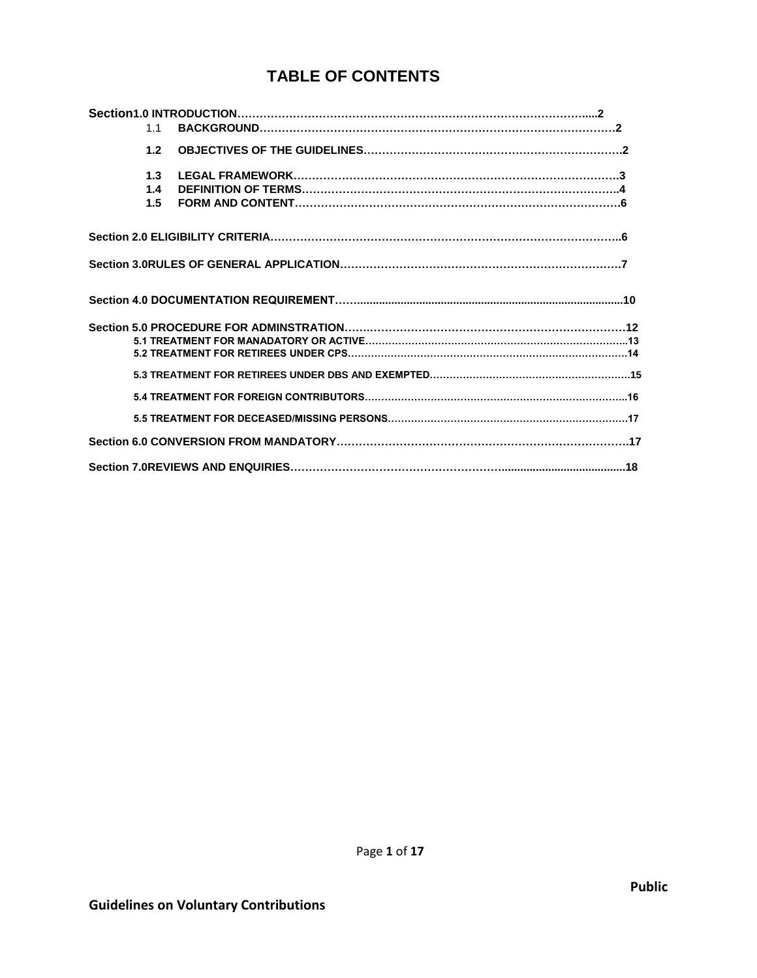# **TABLE OF CONTENTS**

| 1.1               |  |
|-------------------|--|
| 1.2               |  |
| 1.3<br>1.4<br>1.5 |  |
|                   |  |
|                   |  |
|                   |  |
|                   |  |
|                   |  |
|                   |  |
|                   |  |
|                   |  |
|                   |  |
|                   |  |
|                   |  |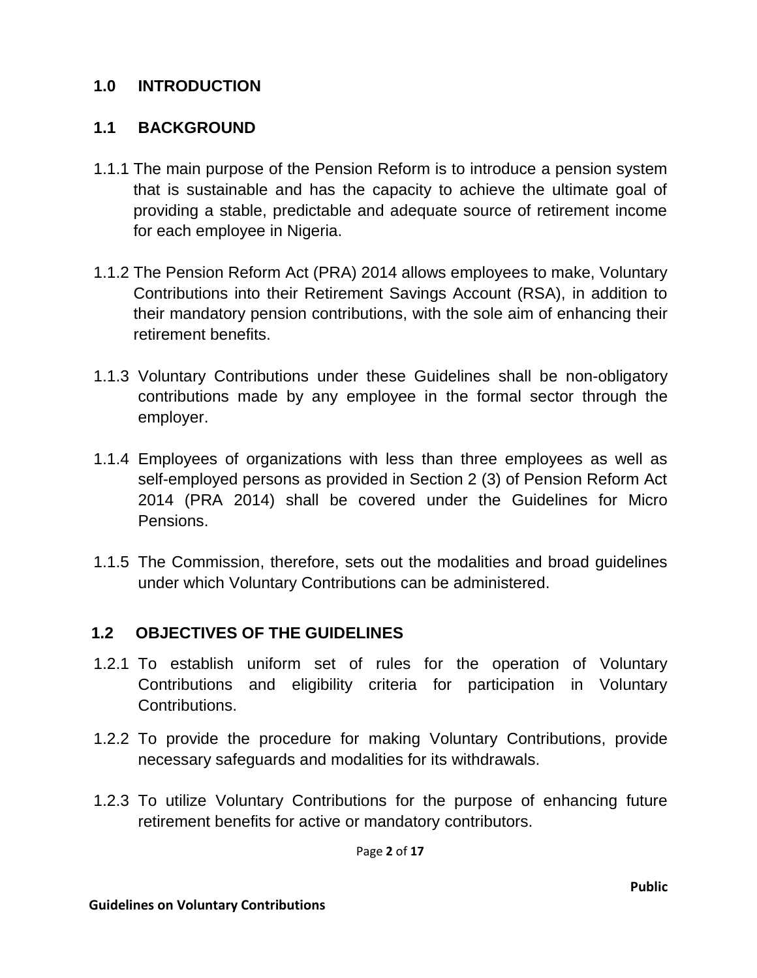### **1.0 INTRODUCTION**

### **1.1 BACKGROUND**

- 1.1.1 The main purpose of the Pension Reform is to introduce a pension system that is sustainable and has the capacity to achieve the ultimate goal of providing a stable, predictable and adequate source of retirement income for each employee in Nigeria.
- 1.1.2 The Pension Reform Act (PRA) 2014 allows employees to make, Voluntary Contributions into their Retirement Savings Account (RSA), in addition to their mandatory pension contributions, with the sole aim of enhancing their retirement benefits.
- 1.1.3 Voluntary Contributions under these Guidelines shall be non-obligatory contributions made by any employee in the formal sector through the employer.
- 1.1.4 Employees of organizations with less than three employees as well as self-employed persons as provided in Section 2 (3) of Pension Reform Act 2014 (PRA 2014) shall be covered under the Guidelines for Micro Pensions.
- 1.1.5 The Commission, therefore, sets out the modalities and broad guidelines under which Voluntary Contributions can be administered.

#### **1.2 OBJECTIVES OF THE GUIDELINES**

- 1.2.1 To establish uniform set of rules for the operation of Voluntary Contributions and eligibility criteria for participation in Voluntary Contributions.
- 1.2.2 To provide the procedure for making Voluntary Contributions, provide necessary safeguards and modalities for its withdrawals.
- 1.2.3 To utilize Voluntary Contributions for the purpose of enhancing future retirement benefits for active or mandatory contributors.

Page **2** of **17**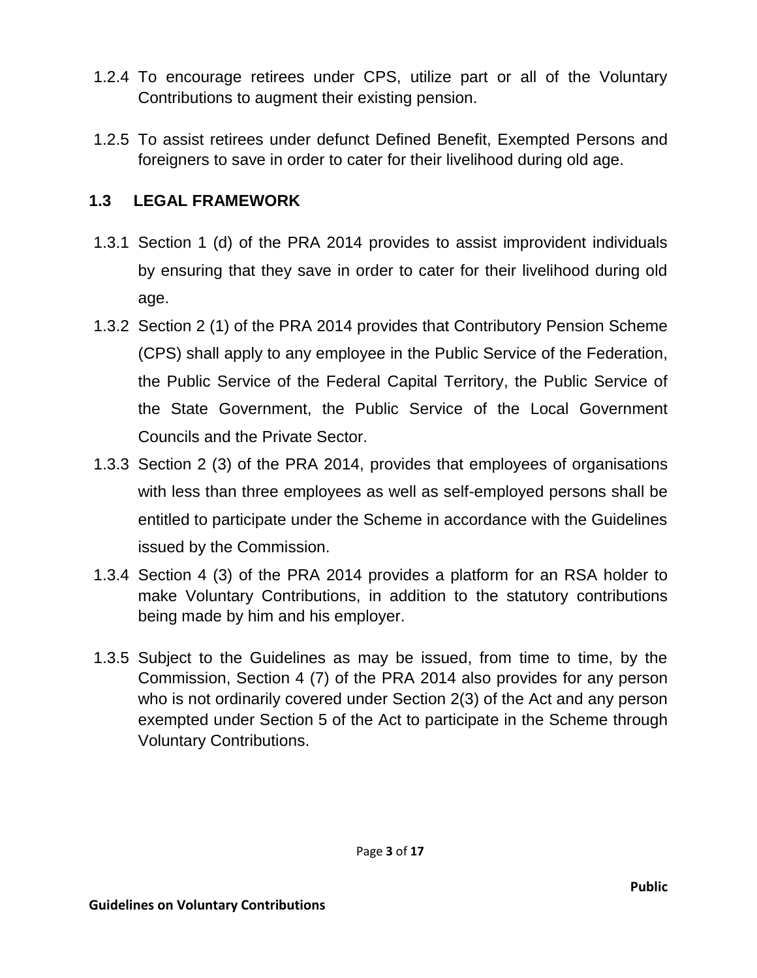- 1.2.4 To encourage retirees under CPS, utilize part or all of the Voluntary Contributions to augment their existing pension.
- 1.2.5 To assist retirees under defunct Defined Benefit, Exempted Persons and foreigners to save in order to cater for their livelihood during old age.

#### **1.3 LEGAL FRAMEWORK**

- 1.3.1 Section 1 (d) of the PRA 2014 provides to assist improvident individuals by ensuring that they save in order to cater for their livelihood during old age.
- 1.3.2 Section 2 (1) of the PRA 2014 provides that Contributory Pension Scheme (CPS) shall apply to any employee in the Public Service of the Federation, the Public Service of the Federal Capital Territory, the Public Service of the State Government, the Public Service of the Local Government Councils and the Private Sector.
- 1.3.3 Section 2 (3) of the PRA 2014, provides that employees of organisations with less than three employees as well as self-employed persons shall be entitled to participate under the Scheme in accordance with the Guidelines issued by the Commission.
- 1.3.4 Section 4 (3) of the PRA 2014 provides a platform for an RSA holder to make Voluntary Contributions, in addition to the statutory contributions being made by him and his employer.
- 1.3.5 Subject to the Guidelines as may be issued, from time to time, by the Commission, Section 4 (7) of the PRA 2014 also provides for any person who is not ordinarily covered under Section 2(3) of the Act and any person exempted under Section 5 of the Act to participate in the Scheme through Voluntary Contributions.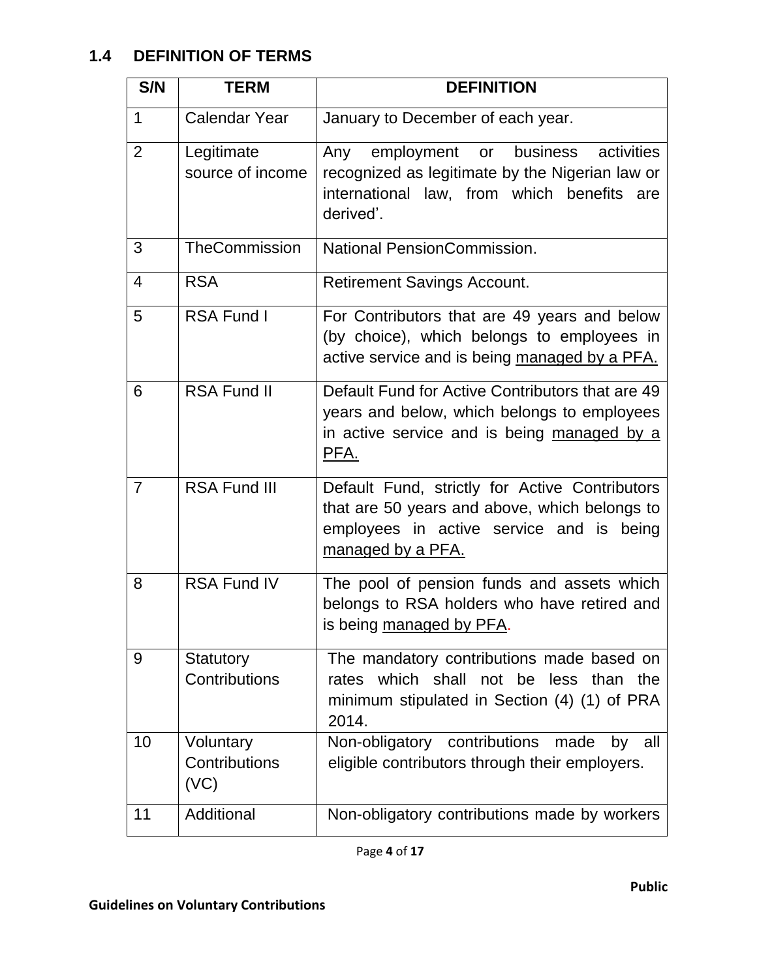# **1.4 DEFINITION OF TERMS**

| S/N            | <b>TERM</b>                        | <b>DEFINITION</b>                                                                                                                                                |
|----------------|------------------------------------|------------------------------------------------------------------------------------------------------------------------------------------------------------------|
| $\mathbf 1$    | <b>Calendar Year</b>               | January to December of each year.                                                                                                                                |
| $\overline{2}$ | Legitimate<br>source of income     | employment or business<br>activities<br>Any<br>recognized as legitimate by the Nigerian law or<br>international law, from which benefits are<br>derived'.        |
| 3              | <b>TheCommission</b>               | National PensionCommission.                                                                                                                                      |
| $\overline{4}$ | <b>RSA</b>                         | <b>Retirement Savings Account.</b>                                                                                                                               |
| 5              | RSA Fund I                         | For Contributors that are 49 years and below<br>(by choice), which belongs to employees in<br>active service and is being managed by a PFA.                      |
| 6              | <b>RSA Fund II</b>                 | Default Fund for Active Contributors that are 49<br>years and below, which belongs to employees<br>in active service and is being managed by a<br>PFA.           |
| $\overline{7}$ | <b>RSA Fund III</b>                | Default Fund, strictly for Active Contributors<br>that are 50 years and above, which belongs to<br>employees in active service and is being<br>managed by a PFA. |
| 8              | <b>RSA Fund IV</b>                 | The pool of pension funds and assets which<br>belongs to RSA holders who have retired and<br>is being managed by PFA.                                            |
| 9              | Statutory<br>Contributions         | The mandatory contributions made based on<br>rates which shall not be less than the<br>minimum stipulated in Section (4) (1) of PRA<br>2014.                     |
| 10             | Voluntary<br>Contributions<br>(VC) | Non-obligatory contributions made<br>by all<br>eligible contributors through their employers.                                                                    |
| 11             | Additional                         | Non-obligatory contributions made by workers                                                                                                                     |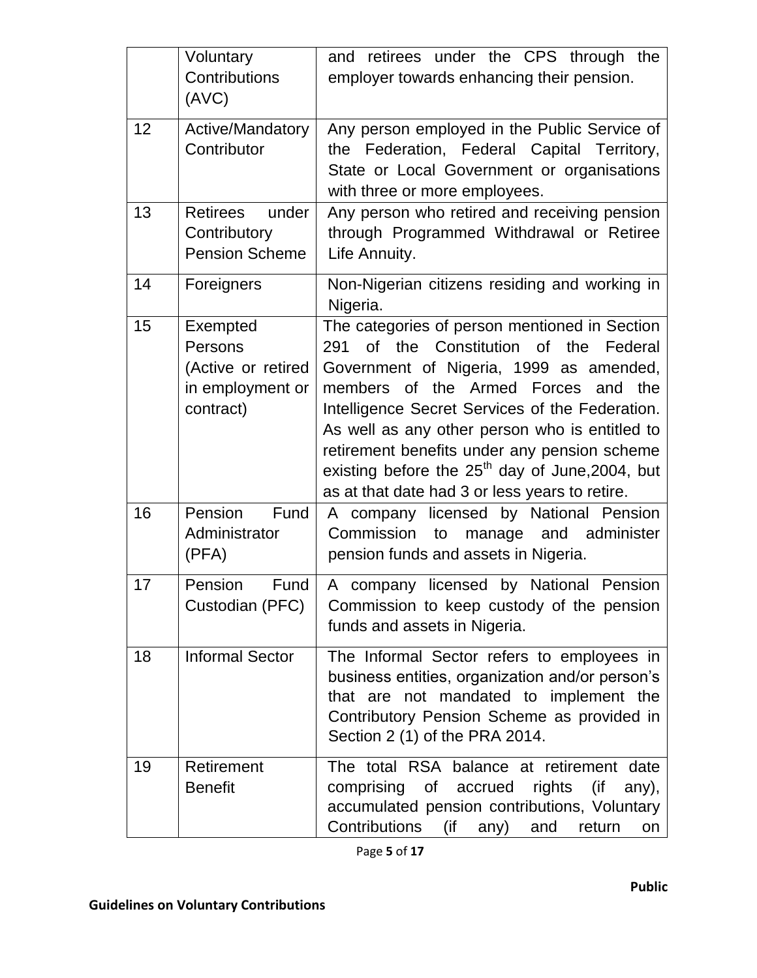|    | Voluntary<br>Contributions<br>(AVC)                                        | and retirees under the CPS through the<br>employer towards enhancing their pension.                                                                                                                                                                                                                                                                                                                                                   |
|----|----------------------------------------------------------------------------|---------------------------------------------------------------------------------------------------------------------------------------------------------------------------------------------------------------------------------------------------------------------------------------------------------------------------------------------------------------------------------------------------------------------------------------|
| 12 | Active/Mandatory<br>Contributor                                            | Any person employed in the Public Service of<br>the Federation, Federal Capital Territory,<br>State or Local Government or organisations<br>with three or more employees.                                                                                                                                                                                                                                                             |
| 13 | Retirees under<br>Contributory<br><b>Pension Scheme</b>                    | Any person who retired and receiving pension<br>through Programmed Withdrawal or Retiree<br>Life Annuity.                                                                                                                                                                                                                                                                                                                             |
| 14 | Foreigners                                                                 | Non-Nigerian citizens residing and working in<br>Nigeria.                                                                                                                                                                                                                                                                                                                                                                             |
| 15 | Exempted<br>Persons<br>(Active or retired<br>in employment or<br>contract) | The categories of person mentioned in Section<br>291 of the Constitution of the Federal<br>Government of Nigeria, 1999 as amended,<br>members of the Armed Forces and the<br>Intelligence Secret Services of the Federation.<br>As well as any other person who is entitled to<br>retirement benefits under any pension scheme<br>existing before the $25th$ day of June, 2004, but<br>as at that date had 3 or less years to retire. |
| 16 | Pension<br>Fund<br>Administrator<br>(PFA)                                  | A company licensed by National Pension<br>Commission<br>manage and administer<br>to<br>pension funds and assets in Nigeria.                                                                                                                                                                                                                                                                                                           |
| 17 | Pension<br>Fund<br>Custodian (PFC)                                         | A company licensed by National Pension<br>Commission to keep custody of the pension<br>funds and assets in Nigeria.                                                                                                                                                                                                                                                                                                                   |
| 18 | <b>Informal Sector</b>                                                     | The Informal Sector refers to employees in<br>business entities, organization and/or person's<br>that are not mandated to implement the<br>Contributory Pension Scheme as provided in<br>Section 2 (1) of the PRA 2014.                                                                                                                                                                                                               |
| 19 | Retirement<br><b>Benefit</b>                                               | The total RSA balance at retirement date<br>rights<br>comprising of<br>accrued<br>(if<br>any),<br>accumulated pension contributions, Voluntary<br><b>Contributions</b><br>(if<br>and<br>return<br>any)<br>on                                                                                                                                                                                                                          |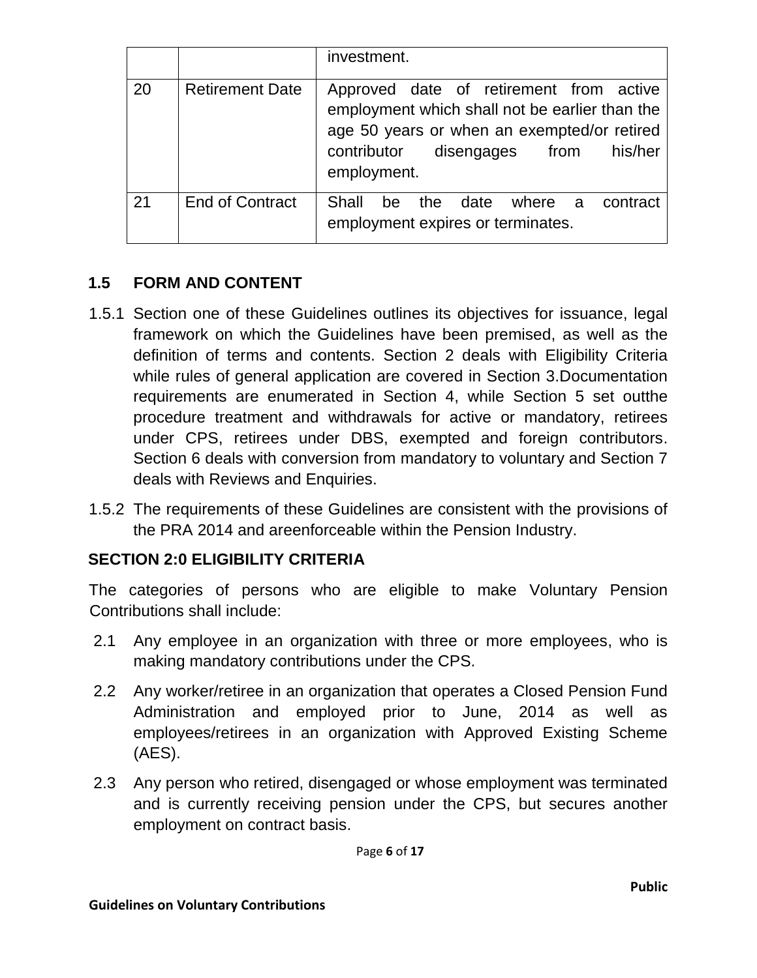|    |                        | investment.                                                                                                                                                                                       |
|----|------------------------|---------------------------------------------------------------------------------------------------------------------------------------------------------------------------------------------------|
| 20 | <b>Retirement Date</b> | Approved date of retirement from active<br>employment which shall not be earlier than the<br>age 50 years or when an exempted/or retired<br>his/her<br>contributor disengages from<br>employment. |
| 21 | <b>End of Contract</b> | Shall<br>the<br>date where a<br>be<br>contract<br>employment expires or terminates.                                                                                                               |

## **1.5 FORM AND CONTENT**

- 1.5.1 Section one of these Guidelines outlines its objectives for issuance, legal framework on which the Guidelines have been premised, as well as the definition of terms and contents. Section 2 deals with Eligibility Criteria while rules of general application are covered in Section 3.Documentation requirements are enumerated in Section 4, while Section 5 set outthe procedure treatment and withdrawals for active or mandatory, retirees under CPS, retirees under DBS, exempted and foreign contributors. Section 6 deals with conversion from mandatory to voluntary and Section 7 deals with Reviews and Enquiries.
- 1.5.2 The requirements of these Guidelines are consistent with the provisions of the PRA 2014 and areenforceable within the Pension Industry.

## **SECTION 2:0 ELIGIBILITY CRITERIA**

The categories of persons who are eligible to make Voluntary Pension Contributions shall include:

- 2.1 Any employee in an organization with three or more employees, who is making mandatory contributions under the CPS.
- 2.2 Any worker/retiree in an organization that operates a Closed Pension Fund Administration and employed prior to June, 2014 as well as employees/retirees in an organization with Approved Existing Scheme (AES).
- 2.3 Any person who retired, disengaged or whose employment was terminated and is currently receiving pension under the CPS, but secures another employment on contract basis.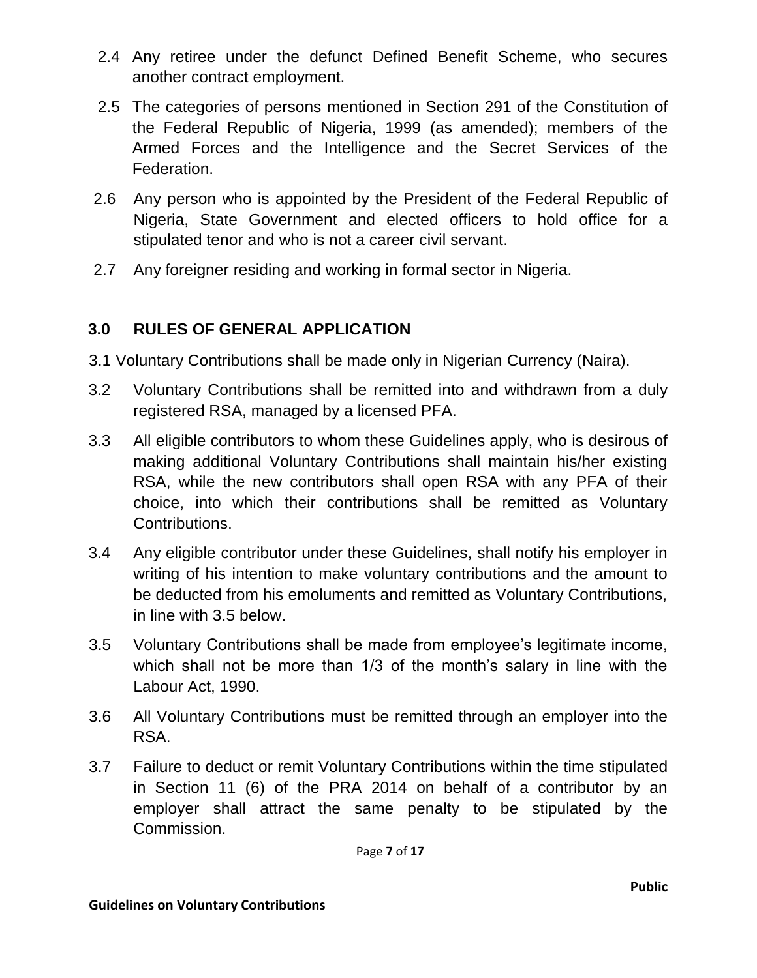- 2.4 Any retiree under the defunct Defined Benefit Scheme, who secures another contract employment.
- 2.5 The categories of persons mentioned in Section 291 of the Constitution of the Federal Republic of Nigeria, 1999 (as amended); members of the Armed Forces and the Intelligence and the Secret Services of the Federation.
- 2.6 Any person who is appointed by the President of the Federal Republic of Nigeria, State Government and elected officers to hold office for a stipulated tenor and who is not a career civil servant.
- 2.7 Any foreigner residing and working in formal sector in Nigeria.

## **3.0 RULES OF GENERAL APPLICATION**

- 3.1 Voluntary Contributions shall be made only in Nigerian Currency (Naira).
- 3.2 Voluntary Contributions shall be remitted into and withdrawn from a duly registered RSA, managed by a licensed PFA.
- 3.3 All eligible contributors to whom these Guidelines apply, who is desirous of making additional Voluntary Contributions shall maintain his/her existing RSA, while the new contributors shall open RSA with any PFA of their choice, into which their contributions shall be remitted as Voluntary Contributions.
- 3.4 Any eligible contributor under these Guidelines, shall notify his employer in writing of his intention to make voluntary contributions and the amount to be deducted from his emoluments and remitted as Voluntary Contributions, in line with 3.5 below.
- 3.5 Voluntary Contributions shall be made from employee's legitimate income, which shall not be more than 1/3 of the month's salary in line with the Labour Act, 1990.
- 3.6 All Voluntary Contributions must be remitted through an employer into the RSA.
- 3.7 Failure to deduct or remit Voluntary Contributions within the time stipulated in Section 11 (6) of the PRA 2014 on behalf of a contributor by an employer shall attract the same penalty to be stipulated by the Commission.

Page **7** of **17**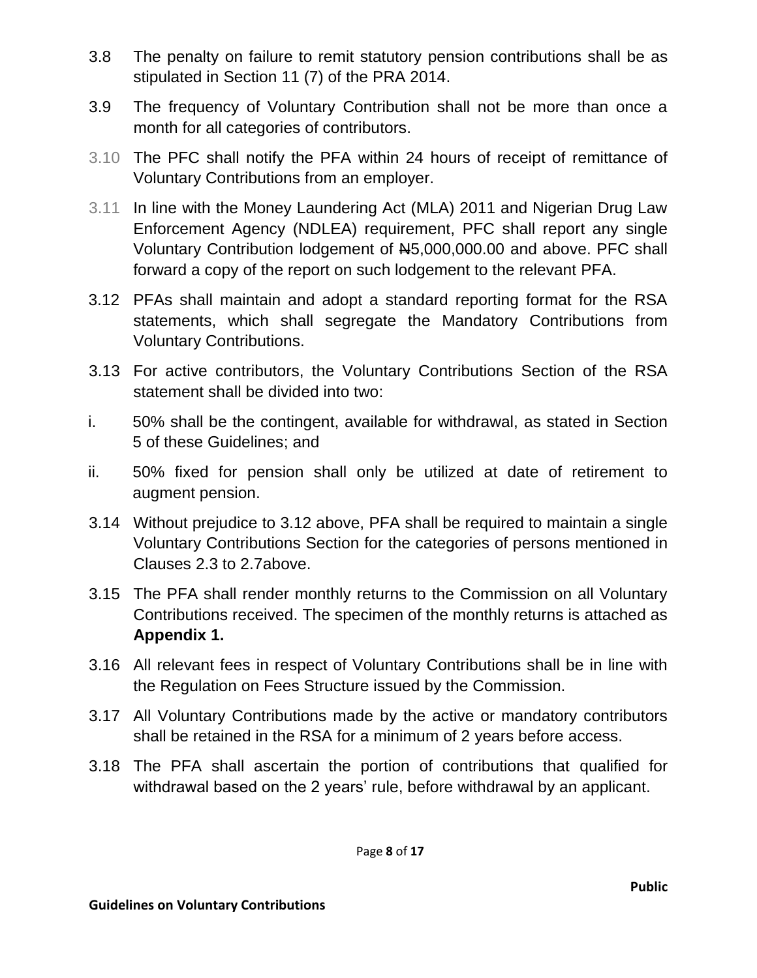- 3.8 The penalty on failure to remit statutory pension contributions shall be as stipulated in Section 11 (7) of the PRA 2014.
- 3.9 The frequency of Voluntary Contribution shall not be more than once a month for all categories of contributors.
- 3.10 The PFC shall notify the PFA within 24 hours of receipt of remittance of Voluntary Contributions from an employer.
- 3.11 In line with the Money Laundering Act (MLA) 2011 and Nigerian Drug Law Enforcement Agency (NDLEA) requirement, PFC shall report any single Voluntary Contribution lodgement of N5,000,000.00 and above. PFC shall forward a copy of the report on such lodgement to the relevant PFA.
- 3.12 PFAs shall maintain and adopt a standard reporting format for the RSA statements, which shall segregate the Mandatory Contributions from Voluntary Contributions.
- 3.13 For active contributors, the Voluntary Contributions Section of the RSA statement shall be divided into two:
- i. 50% shall be the contingent, available for withdrawal, as stated in Section 5 of these Guidelines; and
- ii. 50% fixed for pension shall only be utilized at date of retirement to augment pension.
- 3.14 Without prejudice to 3.12 above, PFA shall be required to maintain a single Voluntary Contributions Section for the categories of persons mentioned in Clauses 2.3 to 2.7above.
- 3.15 The PFA shall render monthly returns to the Commission on all Voluntary Contributions received. The specimen of the monthly returns is attached as **Appendix 1.**
- 3.16 All relevant fees in respect of Voluntary Contributions shall be in line with the Regulation on Fees Structure issued by the Commission.
- 3.17 All Voluntary Contributions made by the active or mandatory contributors shall be retained in the RSA for a minimum of 2 years before access.
- 3.18 The PFA shall ascertain the portion of contributions that qualified for withdrawal based on the 2 years' rule, before withdrawal by an applicant.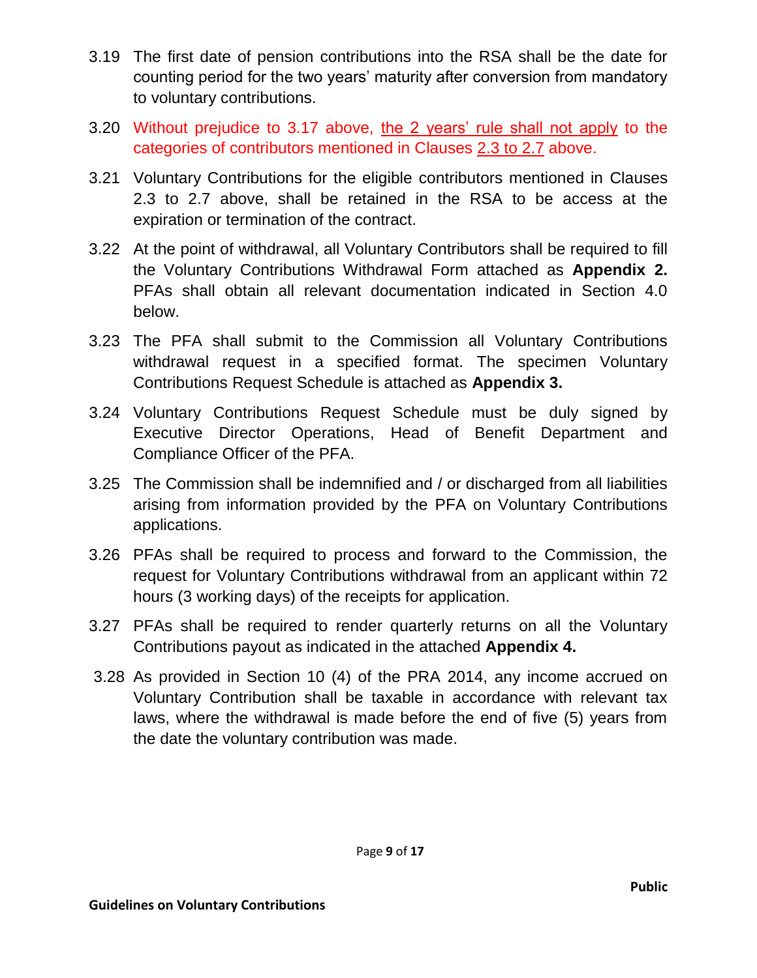- 3.19 The first date of pension contributions into the RSA shall be the date for counting period for the two years' maturity after conversion from mandatory to voluntary contributions.
- 3.20 Without prejudice to 3.17 above, the 2 years' rule shall not apply to the categories of contributors mentioned in Clauses 2.3 to 2.7 above.
- 3.21 Voluntary Contributions for the eligible contributors mentioned in Clauses 2.3 to 2.7 above, shall be retained in the RSA to be access at the expiration or termination of the contract.
- 3.22 At the point of withdrawal, all Voluntary Contributors shall be required to fill the Voluntary Contributions Withdrawal Form attached as **Appendix 2.** PFAs shall obtain all relevant documentation indicated in Section 4.0 below.
- 3.23 The PFA shall submit to the Commission all Voluntary Contributions withdrawal request in a specified format. The specimen Voluntary Contributions Request Schedule is attached as **Appendix 3.**
- 3.24 Voluntary Contributions Request Schedule must be duly signed by Executive Director Operations, Head of Benefit Department and Compliance Officer of the PFA.
- 3.25 The Commission shall be indemnified and / or discharged from all liabilities arising from information provided by the PFA on Voluntary Contributions applications.
- 3.26 PFAs shall be required to process and forward to the Commission, the request for Voluntary Contributions withdrawal from an applicant within 72 hours (3 working days) of the receipts for application.
- 3.27 PFAs shall be required to render quarterly returns on all the Voluntary Contributions payout as indicated in the attached **Appendix 4.**
- 3.28 As provided in Section 10 (4) of the PRA 2014, any income accrued on Voluntary Contribution shall be taxable in accordance with relevant tax laws, where the withdrawal is made before the end of five (5) years from the date the voluntary contribution was made.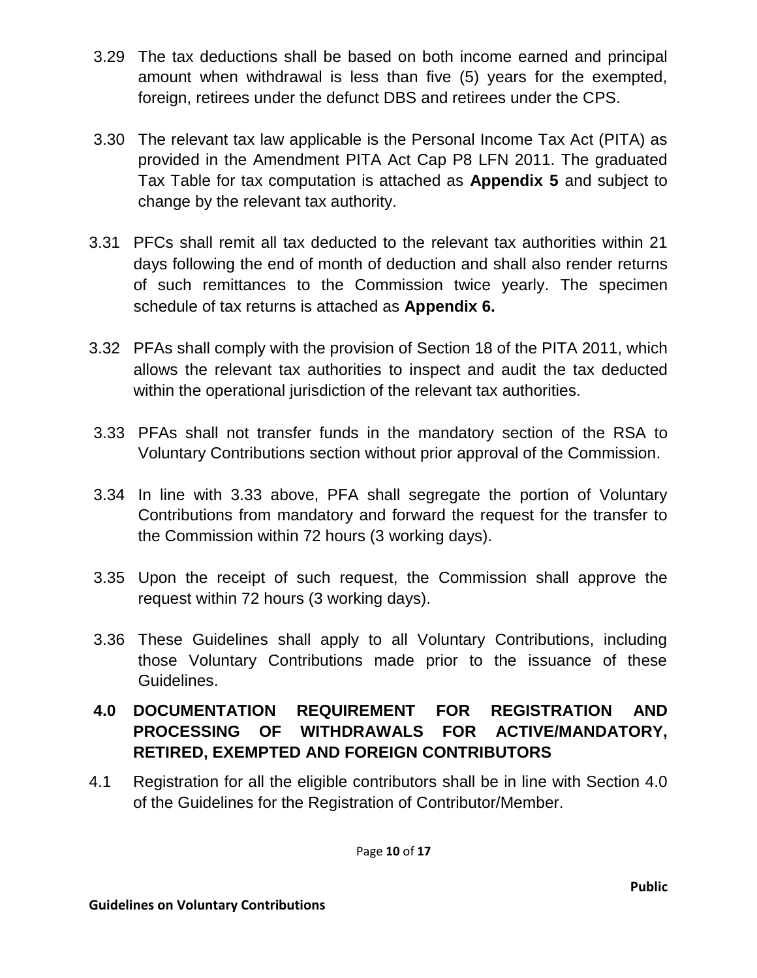- 3.29 The tax deductions shall be based on both income earned and principal amount when withdrawal is less than five (5) years for the exempted, foreign, retirees under the defunct DBS and retirees under the CPS.
- 3.30 The relevant tax law applicable is the Personal Income Tax Act (PITA) as provided in the Amendment PITA Act Cap P8 LFN 2011. The graduated Tax Table for tax computation is attached as **Appendix 5** and subject to change by the relevant tax authority.
- 3.31 PFCs shall remit all tax deducted to the relevant tax authorities within 21 days following the end of month of deduction and shall also render returns of such remittances to the Commission twice yearly. The specimen schedule of tax returns is attached as **Appendix 6.**
- 3.32 PFAs shall comply with the provision of Section 18 of the PITA 2011, which allows the relevant tax authorities to inspect and audit the tax deducted within the operational jurisdiction of the relevant tax authorities.
- 3.33 PFAs shall not transfer funds in the mandatory section of the RSA to Voluntary Contributions section without prior approval of the Commission.
- 3.34 In line with 3.33 above, PFA shall segregate the portion of Voluntary Contributions from mandatory and forward the request for the transfer to the Commission within 72 hours (3 working days).
- 3.35 Upon the receipt of such request, the Commission shall approve the request within 72 hours (3 working days).
- 3.36 These Guidelines shall apply to all Voluntary Contributions, including those Voluntary Contributions made prior to the issuance of these Guidelines.

# **4.0 DOCUMENTATION REQUIREMENT FOR REGISTRATION AND PROCESSING OF WITHDRAWALS FOR ACTIVE/MANDATORY, RETIRED, EXEMPTED AND FOREIGN CONTRIBUTORS**

4.1 Registration for all the eligible contributors shall be in line with Section 4.0 of the Guidelines for the Registration of Contributor/Member.

Page **10** of **17**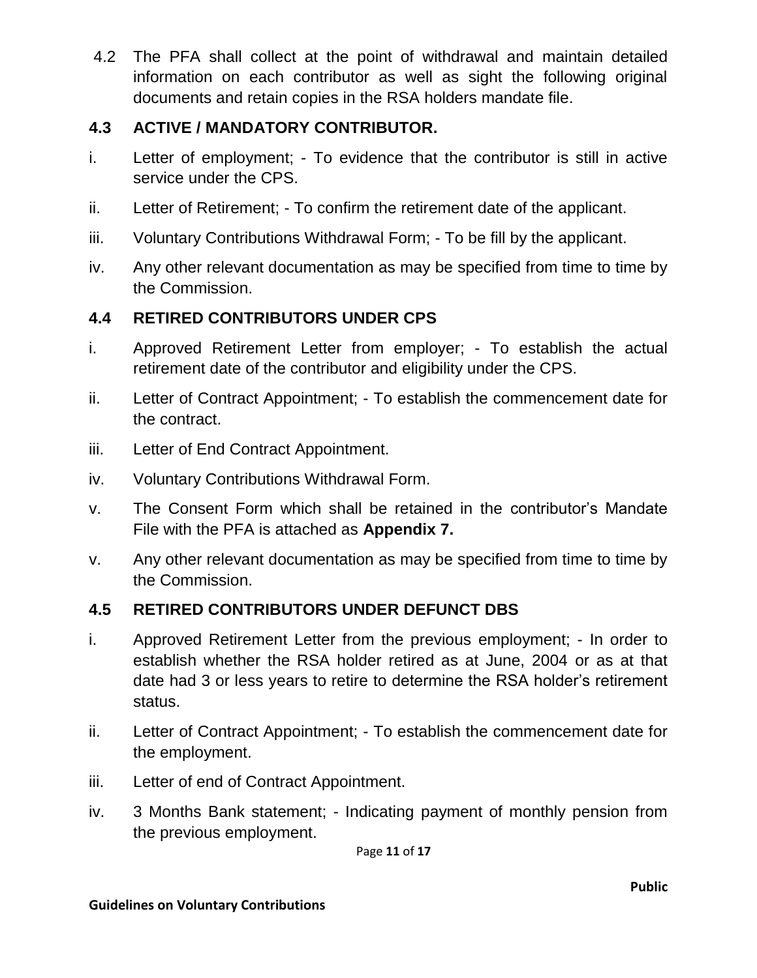4.2 The PFA shall collect at the point of withdrawal and maintain detailed information on each contributor as well as sight the following original documents and retain copies in the RSA holders mandate file.

# **4.3 ACTIVE / MANDATORY CONTRIBUTOR.**

- i. Letter of employment; To evidence that the contributor is still in active service under the CPS.
- ii. Letter of Retirement; To confirm the retirement date of the applicant.
- iii. Voluntary Contributions Withdrawal Form; To be fill by the applicant.
- iv. Any other relevant documentation as may be specified from time to time by the Commission.

# **4.4 RETIRED CONTRIBUTORS UNDER CPS**

- i. Approved Retirement Letter from employer; To establish the actual retirement date of the contributor and eligibility under the CPS.
- ii. Letter of Contract Appointment; To establish the commencement date for the contract.
- iii. Letter of End Contract Appointment.
- iv. Voluntary Contributions Withdrawal Form.
- v. The Consent Form which shall be retained in the contributor's Mandate File with the PFA is attached as **Appendix 7.**
- v. Any other relevant documentation as may be specified from time to time by the Commission.

## **4.5 RETIRED CONTRIBUTORS UNDER DEFUNCT DBS**

- i. Approved Retirement Letter from the previous employment; In order to establish whether the RSA holder retired as at June, 2004 or as at that date had 3 or less years to retire to determine the RSA holder's retirement status.
- ii. Letter of Contract Appointment; To establish the commencement date for the employment.
- iii. Letter of end of Contract Appointment.
- iv. 3 Months Bank statement; Indicating payment of monthly pension from the previous employment.

Page **11** of **17**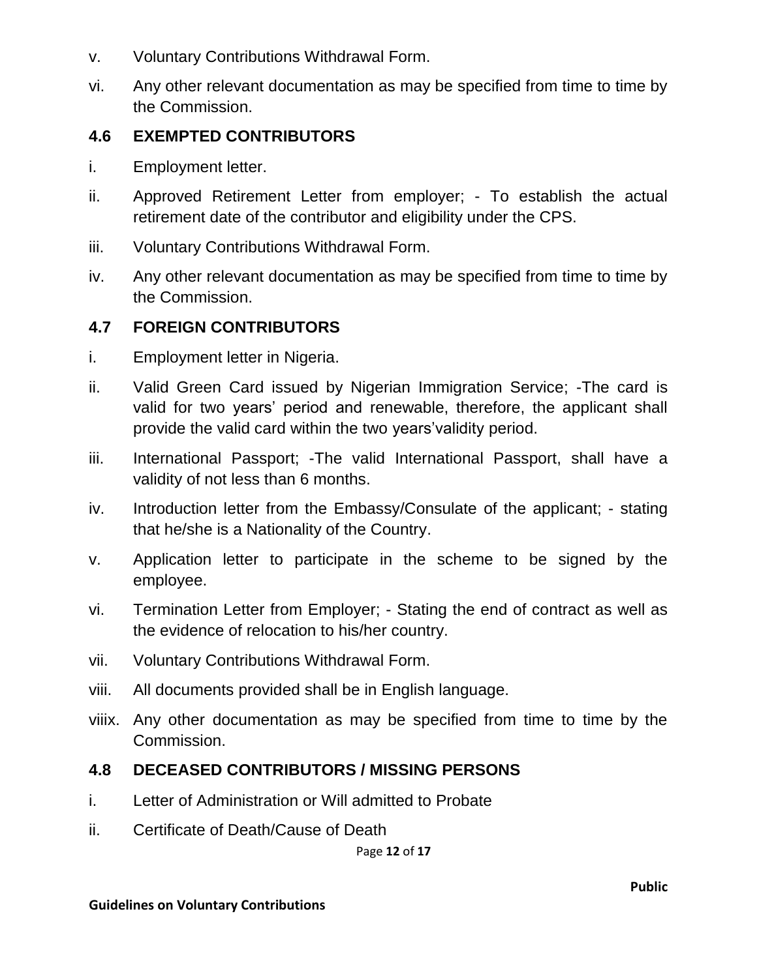- v. Voluntary Contributions Withdrawal Form.
- vi. Any other relevant documentation as may be specified from time to time by the Commission.

### **4.6 EXEMPTED CONTRIBUTORS**

- i. Employment letter.
- ii. Approved Retirement Letter from employer; To establish the actual retirement date of the contributor and eligibility under the CPS.
- iii. Voluntary Contributions Withdrawal Form.
- iv. Any other relevant documentation as may be specified from time to time by the Commission.

#### **4.7 FOREIGN CONTRIBUTORS**

- i. Employment letter in Nigeria.
- ii. Valid Green Card issued by Nigerian Immigration Service; -The card is valid for two years' period and renewable, therefore, the applicant shall provide the valid card within the two years'validity period.
- iii. International Passport; -The valid International Passport, shall have a validity of not less than 6 months.
- iv. Introduction letter from the Embassy/Consulate of the applicant; stating that he/she is a Nationality of the Country.
- v. Application letter to participate in the scheme to be signed by the employee.
- vi. Termination Letter from Employer; Stating the end of contract as well as the evidence of relocation to his/her country.
- vii. Voluntary Contributions Withdrawal Form.
- viii. All documents provided shall be in English language.
- viiix. Any other documentation as may be specified from time to time by the Commission.

#### **4.8 DECEASED CONTRIBUTORS / MISSING PERSONS**

- i. Letter of Administration or Will admitted to Probate
- ii. Certificate of Death/Cause of Death

Page **12** of **17**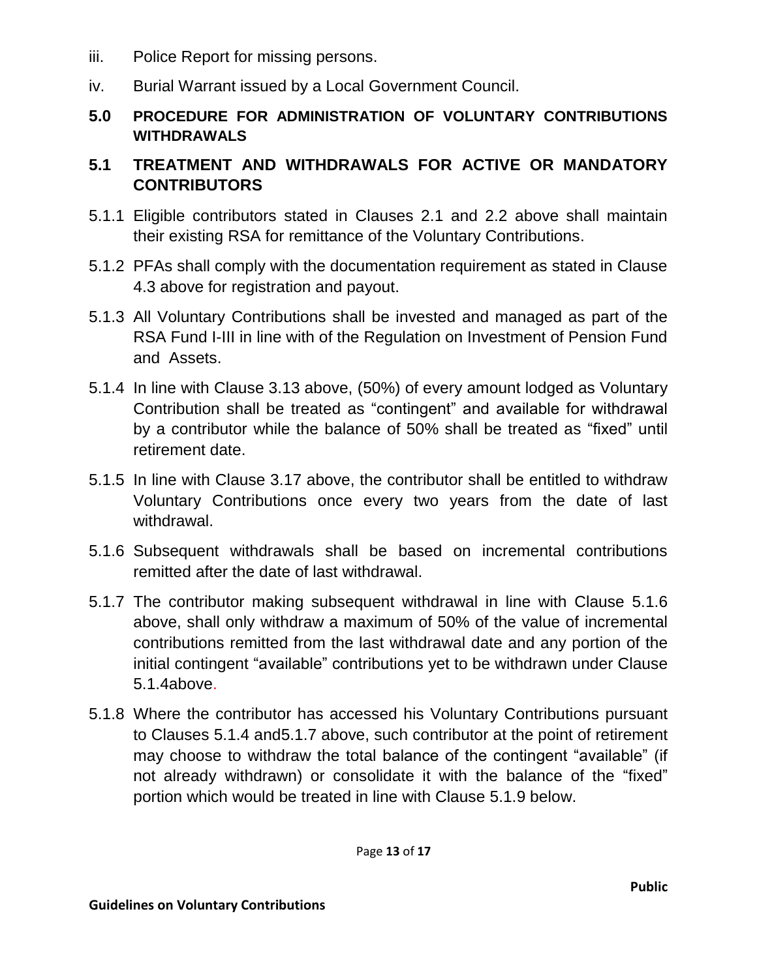- iii. Police Report for missing persons.
- iv. Burial Warrant issued by a Local Government Council.
- **5.0 PROCEDURE FOR ADMINISTRATION OF VOLUNTARY CONTRIBUTIONS WITHDRAWALS**

### **5.1 TREATMENT AND WITHDRAWALS FOR ACTIVE OR MANDATORY CONTRIBUTORS**

- 5.1.1 Eligible contributors stated in Clauses 2.1 and 2.2 above shall maintain their existing RSA for remittance of the Voluntary Contributions.
- 5.1.2 PFAs shall comply with the documentation requirement as stated in Clause 4.3 above for registration and payout.
- 5.1.3 All Voluntary Contributions shall be invested and managed as part of the RSA Fund I-III in line with of the Regulation on Investment of Pension Fund and Assets.
- 5.1.4 In line with Clause 3.13 above, (50%) of every amount lodged as Voluntary Contribution shall be treated as "contingent" and available for withdrawal by a contributor while the balance of 50% shall be treated as "fixed" until retirement date.
- 5.1.5 In line with Clause 3.17 above, the contributor shall be entitled to withdraw Voluntary Contributions once every two years from the date of last withdrawal.
- 5.1.6 Subsequent withdrawals shall be based on incremental contributions remitted after the date of last withdrawal.
- 5.1.7 The contributor making subsequent withdrawal in line with Clause 5.1.6 above, shall only withdraw a maximum of 50% of the value of incremental contributions remitted from the last withdrawal date and any portion of the initial contingent "available" contributions yet to be withdrawn under Clause 5.1.4above.
- 5.1.8 Where the contributor has accessed his Voluntary Contributions pursuant to Clauses 5.1.4 and5.1.7 above, such contributor at the point of retirement may choose to withdraw the total balance of the contingent "available" (if not already withdrawn) or consolidate it with the balance of the "fixed" portion which would be treated in line with Clause 5.1.9 below.

Page **13** of **17**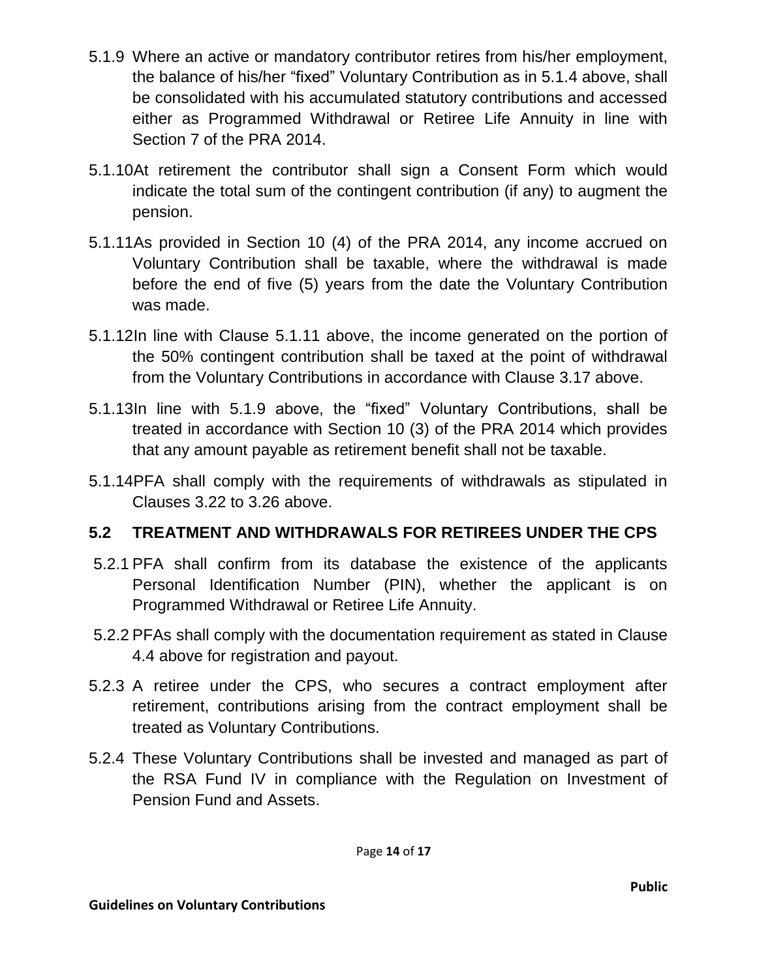- 5.1.9 Where an active or mandatory contributor retires from his/her employment, the balance of his/her "fixed" Voluntary Contribution as in 5.1.4 above, shall be consolidated with his accumulated statutory contributions and accessed either as Programmed Withdrawal or Retiree Life Annuity in line with Section 7 of the PRA 2014.
- 5.1.10At retirement the contributor shall sign a Consent Form which would indicate the total sum of the contingent contribution (if any) to augment the pension.
- 5.1.11As provided in Section 10 (4) of the PRA 2014, any income accrued on Voluntary Contribution shall be taxable, where the withdrawal is made before the end of five (5) years from the date the Voluntary Contribution was made.
- 5.1.12In line with Clause 5.1.11 above, the income generated on the portion of the 50% contingent contribution shall be taxed at the point of withdrawal from the Voluntary Contributions in accordance with Clause 3.17 above.
- 5.1.13In line with 5.1.9 above, the "fixed" Voluntary Contributions, shall be treated in accordance with Section 10 (3) of the PRA 2014 which provides that any amount payable as retirement benefit shall not be taxable.
- 5.1.14PFA shall comply with the requirements of withdrawals as stipulated in Clauses 3.22 to 3.26 above.

## **5.2 TREATMENT AND WITHDRAWALS FOR RETIREES UNDER THE CPS**

- 5.2.1 PFA shall confirm from its database the existence of the applicants Personal Identification Number (PIN), whether the applicant is on Programmed Withdrawal or Retiree Life Annuity.
- 5.2.2 PFAs shall comply with the documentation requirement as stated in Clause 4.4 above for registration and payout.
- 5.2.3 A retiree under the CPS, who secures a contract employment after retirement, contributions arising from the contract employment shall be treated as Voluntary Contributions.
- 5.2.4 These Voluntary Contributions shall be invested and managed as part of the RSA Fund IV in compliance with the Regulation on Investment of Pension Fund and Assets.

Page **14** of **17**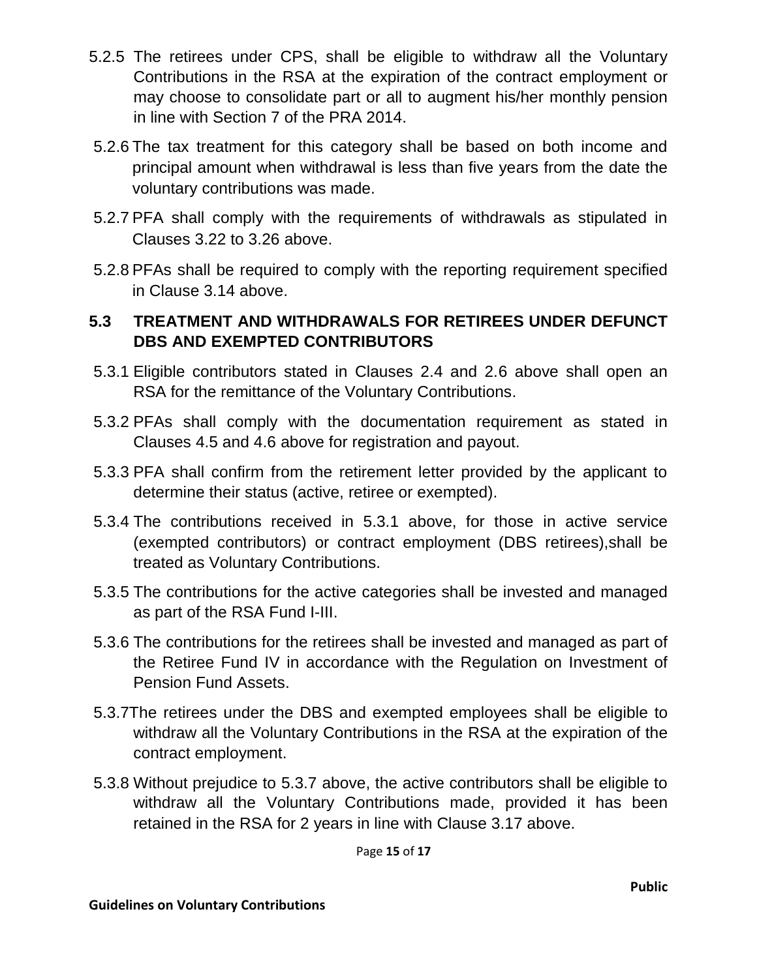- 5.2.5 The retirees under CPS, shall be eligible to withdraw all the Voluntary Contributions in the RSA at the expiration of the contract employment or may choose to consolidate part or all to augment his/her monthly pension in line with Section 7 of the PRA 2014.
- 5.2.6 The tax treatment for this category shall be based on both income and principal amount when withdrawal is less than five years from the date the voluntary contributions was made.
- 5.2.7 PFA shall comply with the requirements of withdrawals as stipulated in Clauses 3.22 to 3.26 above.
- 5.2.8 PFAs shall be required to comply with the reporting requirement specified in Clause 3.14 above.

### **5.3 TREATMENT AND WITHDRAWALS FOR RETIREES UNDER DEFUNCT DBS AND EXEMPTED CONTRIBUTORS**

- 5.3.1 Eligible contributors stated in Clauses 2.4 and 2.6 above shall open an RSA for the remittance of the Voluntary Contributions.
- 5.3.2 PFAs shall comply with the documentation requirement as stated in Clauses 4.5 and 4.6 above for registration and payout.
- 5.3.3 PFA shall confirm from the retirement letter provided by the applicant to determine their status (active, retiree or exempted).
- 5.3.4 The contributions received in 5.3.1 above, for those in active service (exempted contributors) or contract employment (DBS retirees),shall be treated as Voluntary Contributions.
- 5.3.5 The contributions for the active categories shall be invested and managed as part of the RSA Fund I-III.
- 5.3.6 The contributions for the retirees shall be invested and managed as part of the Retiree Fund IV in accordance with the Regulation on Investment of Pension Fund Assets.
- 5.3.7The retirees under the DBS and exempted employees shall be eligible to withdraw all the Voluntary Contributions in the RSA at the expiration of the contract employment.
- 5.3.8 Without prejudice to 5.3.7 above, the active contributors shall be eligible to withdraw all the Voluntary Contributions made, provided it has been retained in the RSA for 2 years in line with Clause 3.17 above.

Page **15** of **17**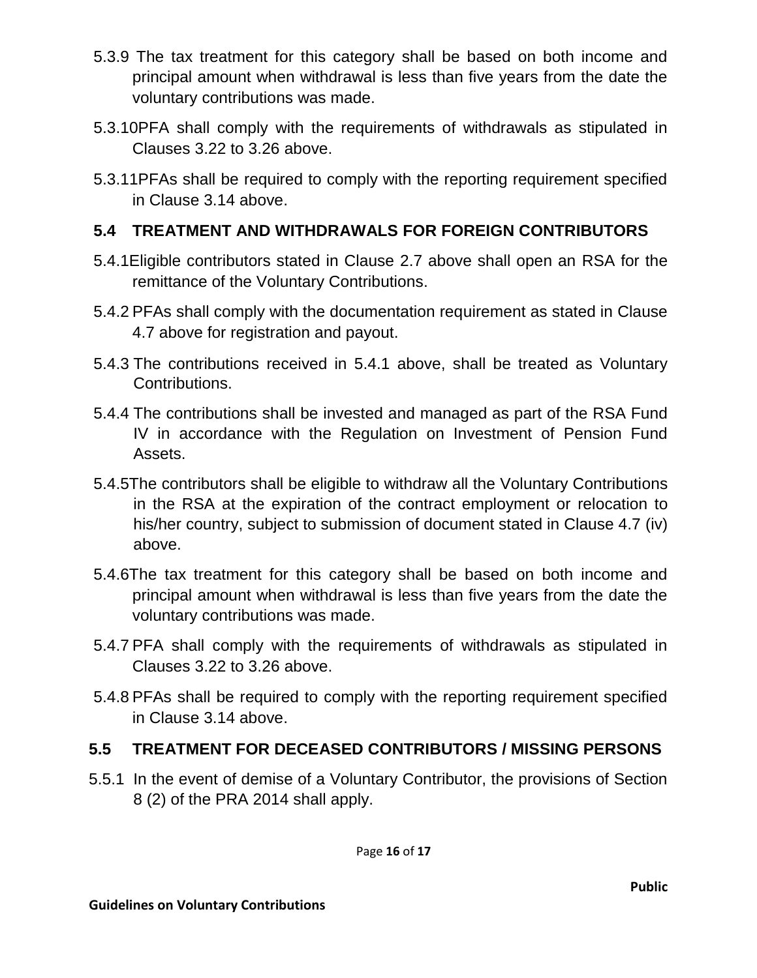- 5.3.9 The tax treatment for this category shall be based on both income and principal amount when withdrawal is less than five years from the date the voluntary contributions was made.
- 5.3.10PFA shall comply with the requirements of withdrawals as stipulated in Clauses 3.22 to 3.26 above.
- 5.3.11PFAs shall be required to comply with the reporting requirement specified in Clause 3.14 above.

### **5.4 TREATMENT AND WITHDRAWALS FOR FOREIGN CONTRIBUTORS**

- 5.4.1Eligible contributors stated in Clause 2.7 above shall open an RSA for the remittance of the Voluntary Contributions.
- 5.4.2 PFAs shall comply with the documentation requirement as stated in Clause 4.7 above for registration and payout.
- 5.4.3 The contributions received in 5.4.1 above, shall be treated as Voluntary Contributions.
- 5.4.4 The contributions shall be invested and managed as part of the RSA Fund IV in accordance with the Regulation on Investment of Pension Fund Assets.
- 5.4.5The contributors shall be eligible to withdraw all the Voluntary Contributions in the RSA at the expiration of the contract employment or relocation to his/her country, subject to submission of document stated in Clause 4.7 (iv) above.
- 5.4.6The tax treatment for this category shall be based on both income and principal amount when withdrawal is less than five years from the date the voluntary contributions was made.
- 5.4.7 PFA shall comply with the requirements of withdrawals as stipulated in Clauses 3.22 to 3.26 above.
- 5.4.8 PFAs shall be required to comply with the reporting requirement specified in Clause 3.14 above.

## **5.5 TREATMENT FOR DECEASED CONTRIBUTORS / MISSING PERSONS**

5.5.1 In the event of demise of a Voluntary Contributor, the provisions of Section 8 (2) of the PRA 2014 shall apply.

Page **16** of **17**